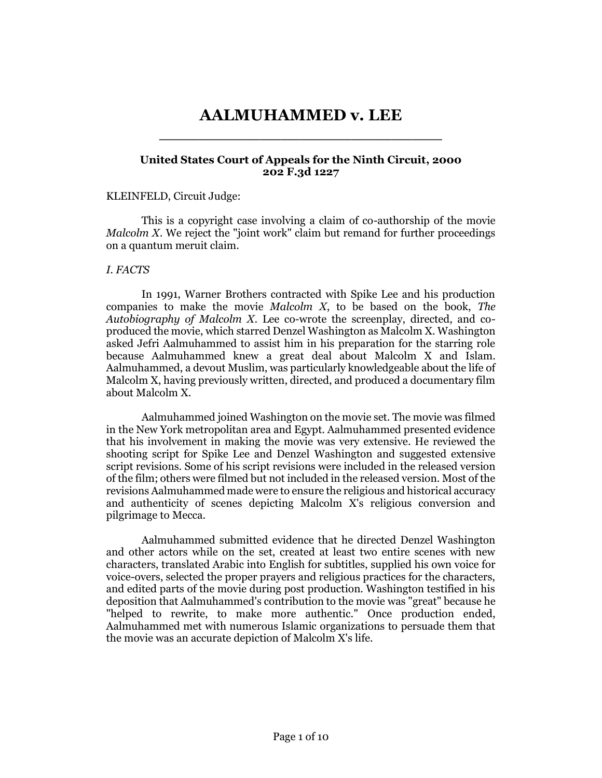# **AALMUHAMMED v. LEE** \_\_\_\_\_\_\_\_\_\_\_\_\_\_\_\_\_\_\_\_\_\_\_\_\_\_\_\_

### **United States Court of Appeals for the Ninth Circuit, 2000 202 F.3d 1227**

#### KLEINFELD, Circuit Judge:

This is a copyright case involving a claim of co-authorship of the movie *Malcolm X*. We reject the "joint work" claim but remand for further proceedings on a quantum meruit claim.

#### *I. FACTS*

In 1991, Warner Brothers contracted with Spike Lee and his production companies to make the movie *Malcolm X*, to be based on the book, *The Autobiography of Malcolm X*. Lee co-wrote the screenplay, directed, and coproduced the movie, which starred Denzel Washington as Malcolm X. Washington asked Jefri Aalmuhammed to assist him in his preparation for the starring role because Aalmuhammed knew a great deal about Malcolm X and Islam. Aalmuhammed, a devout Muslim, was particularly knowledgeable about the life of Malcolm X, having previously written, directed, and produced a documentary film about Malcolm X.

Aalmuhammed joined Washington on the movie set. The movie was filmed in the New York metropolitan area and Egypt. Aalmuhammed presented evidence that his involvement in making the movie was very extensive. He reviewed the shooting script for Spike Lee and Denzel Washington and suggested extensive script revisions. Some of his script revisions were included in the released version of the film; others were filmed but not included in the released version. Most of the revisions Aalmuhammed made were to ensure the religious and historical accuracy and authenticity of scenes depicting Malcolm X's religious conversion and pilgrimage to Mecca.

Aalmuhammed submitted evidence that he directed Denzel Washington and other actors while on the set, created at least two entire scenes with new characters, translated Arabic into English for subtitles, supplied his own voice for voice-overs, selected the proper prayers and religious practices for the characters, and edited parts of the movie during post production. Washington testified in his deposition that Aalmuhammed's contribution to the movie was "great" because he "helped to rewrite, to make more authentic." Once production ended, Aalmuhammed met with numerous Islamic organizations to persuade them that the movie was an accurate depiction of Malcolm X's life.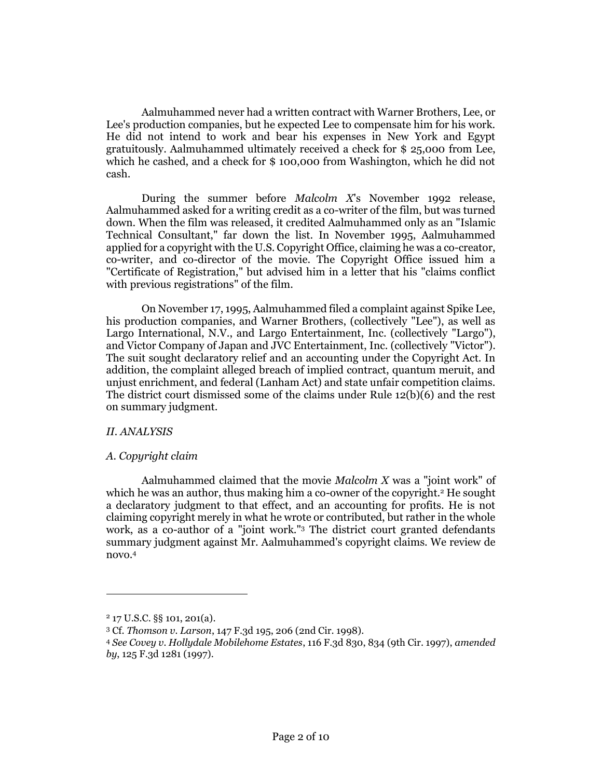Aalmuhammed never had a written contract with Warner Brothers, Lee, or Lee's production companies, but he expected Lee to compensate him for his work. He did not intend to work and bear his expenses in New York and Egypt gratuitously. Aalmuhammed ultimately received a check for \$ 25,000 from Lee, which he cashed, and a check for \$100,000 from Washington, which he did not cash.

During the summer before *Malcolm X*'s November 1992 release, Aalmuhammed asked for a writing credit as a co-writer of the film, but was turned down. When the film was released, it credited Aalmuhammed only as an "Islamic Technical Consultant," far down the list. In November 1995, Aalmuhammed applied for a copyright with the U.S. Copyright Office, claiming he was a co-creator, co-writer, and co-director of the movie. The Copyright Office issued him a "Certificate of Registration," but advised him in a letter that his "claims conflict with previous registrations" of the film.

On November 17, 1995, Aalmuhammed filed a complaint against Spike Lee, his production companies, and Warner Brothers, (collectively "Lee"), as well as Largo International, N.V., and Largo Entertainment, Inc. (collectively "Largo"), and Victor Company of Japan and JVC Entertainment, Inc. (collectively "Victor"). The suit sought declaratory relief and an accounting under the Copyright Act. In addition, the complaint alleged breach of implied contract, quantum meruit, and unjust enrichment, and federal (Lanham Act) and state unfair competition claims. The district court dismissed some of the claims under Rule 12(b)(6) and the rest on summary judgment.

#### *II. ANALYSIS*

## *A. Copyright claim*

Aalmuhammed claimed that the movie *Malcolm X* was a "joint work" of which he was an author, thus making him a co-owner of the copyright.<sup>2</sup> He sought a declaratory judgment to that effect, and an accounting for profits. He is not claiming copyright merely in what he wrote or contributed, but rather in the whole work, as a co-author of a "joint work." <sup>3</sup> The district court granted defendants summary judgment against Mr. Aalmuhammed's copyright claims. We review de novo.<sup>4</sup>

<sup>2</sup> 17 U.S.C. §§ 101, 201(a).

<sup>3</sup> Cf. *Thomson v. Larson*, 147 F.3d 195, 206 (2nd Cir. 1998).

<sup>4</sup> *See Covey v. Hollydale Mobilehome Estates*, 116 F.3d 830, 834 (9th Cir. 1997), *amended by*, 125 F.3d 1281 (1997).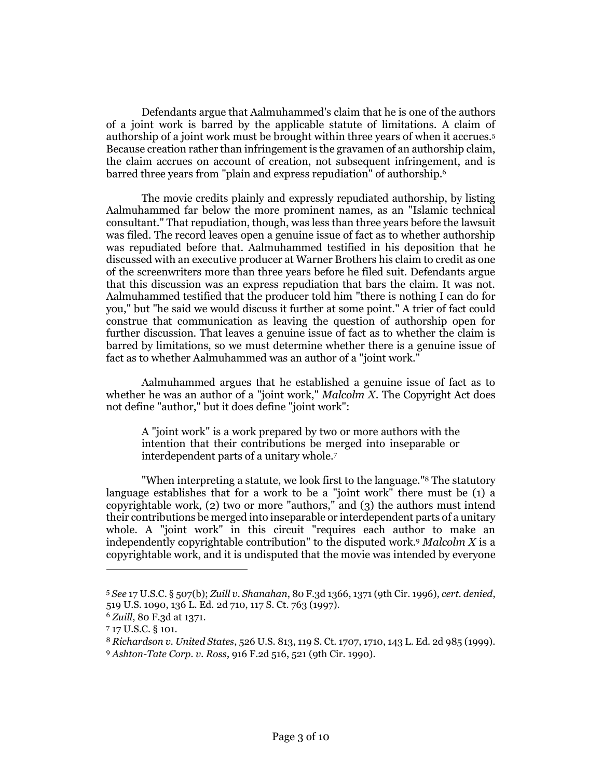Defendants argue that Aalmuhammed's claim that he is one of the authors of a joint work is barred by the applicable statute of limitations. A claim of authorship of a joint work must be brought within three years of when it accrues.<sup>5</sup> Because creation rather than infringement is the gravamen of an authorship claim, the claim accrues on account of creation, not subsequent infringement, and is barred three years from "plain and express repudiation" of authorship.<sup>6</sup>

The movie credits plainly and expressly repudiated authorship, by listing Aalmuhammed far below the more prominent names, as an "Islamic technical consultant." That repudiation, though, was less than three years before the lawsuit was filed. The record leaves open a genuine issue of fact as to whether authorship was repudiated before that. Aalmuhammed testified in his deposition that he discussed with an executive producer at Warner Brothers his claim to credit as one of the screenwriters more than three years before he filed suit. Defendants argue that this discussion was an express repudiation that bars the claim. It was not. Aalmuhammed testified that the producer told him "there is nothing I can do for you," but "he said we would discuss it further at some point." A trier of fact could construe that communication as leaving the question of authorship open for further discussion. That leaves a genuine issue of fact as to whether the claim is barred by limitations, so we must determine whether there is a genuine issue of fact as to whether Aalmuhammed was an author of a "joint work."

Aalmuhammed argues that he established a genuine issue of fact as to whether he was an author of a "joint work," *Malcolm X*. The Copyright Act does not define "author," but it does define "joint work":

A "joint work" is a work prepared by two or more authors with the intention that their contributions be merged into inseparable or interdependent parts of a unitary whole.<sup>7</sup>

"When interpreting a statute, we look first to the language." <sup>8</sup> The statutory language establishes that for a work to be a "joint work" there must be (1) a copyrightable work, (2) two or more "authors," and (3) the authors must intend their contributions be merged into inseparable or interdependent parts of a unitary whole. A "joint work" in this circuit "requires each author to make an independently copyrightable contribution" to the disputed work.<sup>9</sup> *Malcolm X* is a copyrightable work, and it is undisputed that the movie was intended by everyone

<sup>5</sup> *See* 17 U.S.C. § 507(b); *Zuill v. Shanahan*, 80 F.3d 1366, 1371 (9th Cir. 1996), *cert. denied*, 519 U.S. 1090, 136 L. Ed. 2d 710, 117 S. Ct. 763 (1997).

<sup>6</sup> *Zuill*, 80 F.3d at 1371.

<sup>7</sup> 17 U.S.C. § 101.

<sup>8</sup> *Richardson v. United States*, 526 U.S. 813, 119 S. Ct. 1707, 1710, 143 L. Ed. 2d 985 (1999).

<sup>9</sup> *Ashton-Tate Corp. v. Ross*, 916 F.2d 516, 521 (9th Cir. 1990).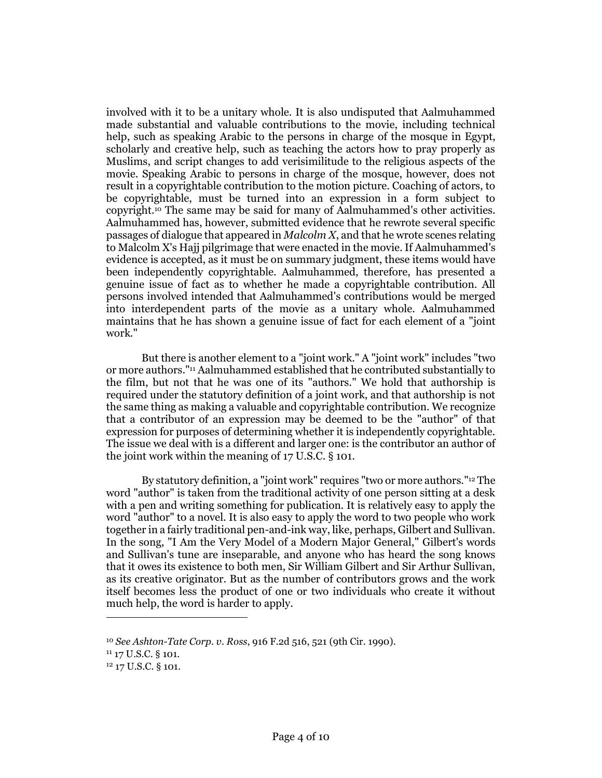involved with it to be a unitary whole. It is also undisputed that Aalmuhammed made substantial and valuable contributions to the movie, including technical help, such as speaking Arabic to the persons in charge of the mosque in Egypt, scholarly and creative help, such as teaching the actors how to pray properly as Muslims, and script changes to add verisimilitude to the religious aspects of the movie. Speaking Arabic to persons in charge of the mosque, however, does not result in a copyrightable contribution to the motion picture. Coaching of actors, to be copyrightable, must be turned into an expression in a form subject to copyright.<sup>10</sup> The same may be said for many of Aalmuhammed's other activities. Aalmuhammed has, however, submitted evidence that he rewrote several specific passages of dialogue that appeared in *Malcolm X*, and that he wrote scenes relating to Malcolm X's Hajj pilgrimage that were enacted in the movie. If Aalmuhammed's evidence is accepted, as it must be on summary judgment, these items would have been independently copyrightable. Aalmuhammed, therefore, has presented a genuine issue of fact as to whether he made a copyrightable contribution. All persons involved intended that Aalmuhammed's contributions would be merged into interdependent parts of the movie as a unitary whole. Aalmuhammed maintains that he has shown a genuine issue of fact for each element of a "joint work."

But there is another element to a "joint work." A "joint work" includes "two or more authors." <sup>11</sup> Aalmuhammed established that he contributed substantially to the film, but not that he was one of its "authors." We hold that authorship is required under the statutory definition of a joint work, and that authorship is not the same thing as making a valuable and copyrightable contribution. We recognize that a contributor of an expression may be deemed to be the "author" of that expression for purposes of determining whether it is independently copyrightable. The issue we deal with is a different and larger one: is the contributor an author of the joint work within the meaning of 17 U.S.C. § 101.

By statutory definition, a "joint work" requires "two or more authors." <sup>12</sup> The word "author" is taken from the traditional activity of one person sitting at a desk with a pen and writing something for publication. It is relatively easy to apply the word "author" to a novel. It is also easy to apply the word to two people who work together in a fairly traditional pen-and-ink way, like, perhaps, Gilbert and Sullivan. In the song, "I Am the Very Model of a Modern Major General," Gilbert's words and Sullivan's tune are inseparable, and anyone who has heard the song knows that it owes its existence to both men, Sir William Gilbert and Sir Arthur Sullivan, as its creative originator. But as the number of contributors grows and the work itself becomes less the product of one or two individuals who create it without much help, the word is harder to apply.

<sup>10</sup> *See Ashton-Tate Corp. v. Ross*, 916 F.2d 516, 521 (9th Cir. 1990).

<sup>11</sup> 17 U.S.C. § 101.

<sup>12</sup> 17 U.S.C. § 101.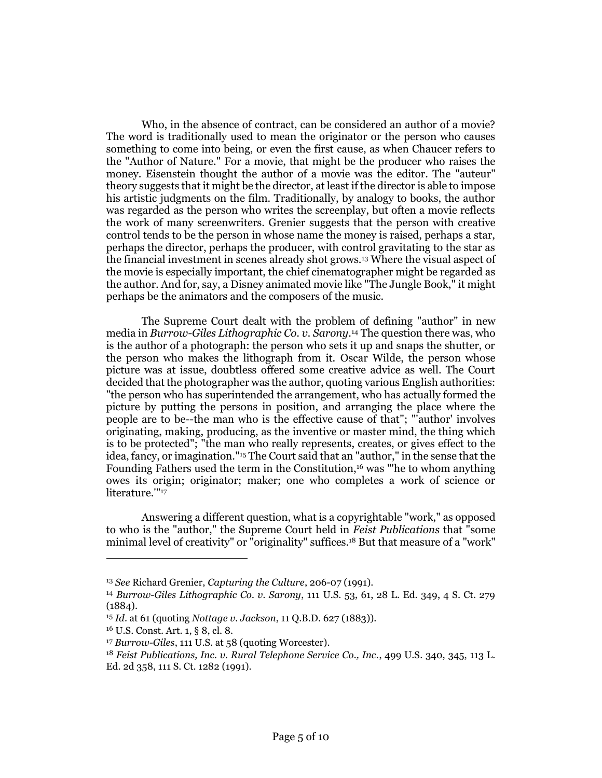Who, in the absence of contract, can be considered an author of a movie? The word is traditionally used to mean the originator or the person who causes something to come into being, or even the first cause, as when Chaucer refers to the "Author of Nature." For a movie, that might be the producer who raises the money. Eisenstein thought the author of a movie was the editor. The "auteur" theory suggests that it might be the director, at least if the director is able to impose his artistic judgments on the film. Traditionally, by analogy to books, the author was regarded as the person who writes the screenplay, but often a movie reflects the work of many screenwriters. Grenier suggests that the person with creative control tends to be the person in whose name the money is raised, perhaps a star, perhaps the director, perhaps the producer, with control gravitating to the star as the financial investment in scenes already shot grows.<sup>13</sup> Where the visual aspect of the movie is especially important, the chief cinematographer might be regarded as the author. And for, say, a Disney animated movie like "The Jungle Book," it might perhaps be the animators and the composers of the music.

The Supreme Court dealt with the problem of defining "author" in new media in *Burrow-Giles Lithographic Co. v. Sarony*. <sup>14</sup> The question there was, who is the author of a photograph: the person who sets it up and snaps the shutter, or the person who makes the lithograph from it. Oscar Wilde, the person whose picture was at issue, doubtless offered some creative advice as well. The Court decided that the photographer was the author, quoting various English authorities: "the person who has superintended the arrangement, who has actually formed the picture by putting the persons in position, and arranging the place where the people are to be--the man who is the effective cause of that"; "'author' involves originating, making, producing, as the inventive or master mind, the thing which is to be protected"; "the man who really represents, creates, or gives effect to the idea, fancy, or imagination." <sup>15</sup> The Court said that an "author," in the sense that the Founding Fathers used the term in the Constitution,<sup>16</sup> was "'he to whom anything owes its origin; originator; maker; one who completes a work of science or literature.'" 17

Answering a different question, what is a copyrightable "work," as opposed to who is the "author," the Supreme Court held in *Feist Publications* that "some minimal level of creativity" or "originality" suffices.<sup>18</sup> But that measure of a "work"

<sup>13</sup> *See* Richard Grenier, *Capturing the Culture*, 206-07 (1991).

<sup>14</sup> *Burrow-Giles Lithographic Co. v. Sarony*, 111 U.S. 53, 61, 28 L. Ed. 349, 4 S. Ct. 279  $(1884)$ .

<sup>15</sup> *Id*. at 61 (quoting *Nottage v. Jackson*, 11 Q.B.D. 627 (1883)).

<sup>16</sup> U.S. Const. Art. 1, § 8, cl. 8.

<sup>17</sup> *Burrow-Giles*, 111 U.S. at 58 (quoting Worcester).

<sup>18</sup> *Feist Publications, Inc. v. Rural Telephone Service Co., Inc.*, 499 U.S. 340, 345, 113 L. Ed. 2d 358, 111 S. Ct. 1282 (1991).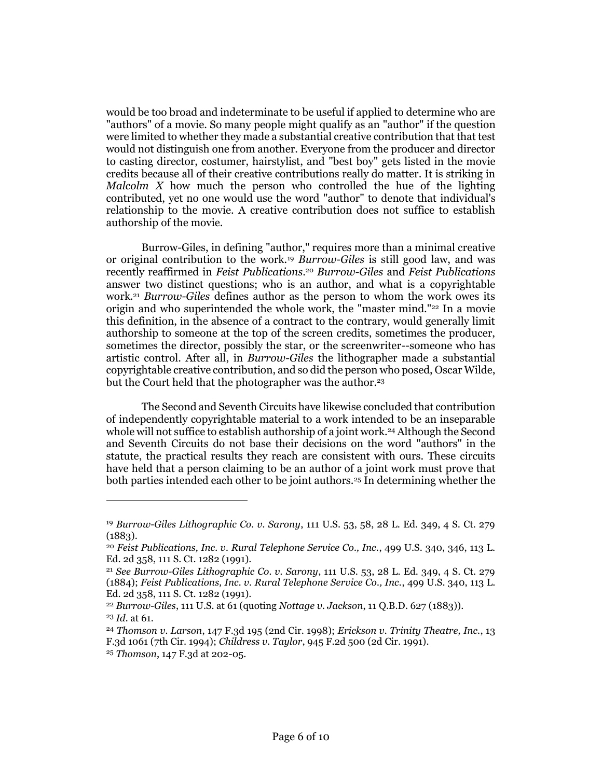would be too broad and indeterminate to be useful if applied to determine who are "authors" of a movie. So many people might qualify as an "author" if the question were limited to whether they made a substantial creative contribution that that test would not distinguish one from another. Everyone from the producer and director to casting director, costumer, hairstylist, and "best boy" gets listed in the movie credits because all of their creative contributions really do matter. It is striking in *Malcolm X* how much the person who controlled the hue of the lighting contributed, yet no one would use the word "author" to denote that individual's relationship to the movie. A creative contribution does not suffice to establish authorship of the movie.

Burrow-Giles, in defining "author," requires more than a minimal creative or original contribution to the work.<sup>19</sup> *Burrow-Giles* is still good law, and was recently reaffirmed in *Feist Publications*. <sup>20</sup> *Burrow-Giles* and *Feist Publications* answer two distinct questions; who is an author, and what is a copyrightable work.<sup>21</sup> *Burrow-Giles* defines author as the person to whom the work owes its origin and who superintended the whole work, the "master mind." <sup>22</sup> In a movie this definition, in the absence of a contract to the contrary, would generally limit authorship to someone at the top of the screen credits, sometimes the producer, sometimes the director, possibly the star, or the screenwriter--someone who has artistic control. After all, in *Burrow-Giles* the lithographer made a substantial copyrightable creative contribution, and so did the person who posed, Oscar Wilde, but the Court held that the photographer was the author.<sup>23</sup>

The Second and Seventh Circuits have likewise concluded that contribution of independently copyrightable material to a work intended to be an inseparable whole will not suffice to establish authorship of a joint work.<sup>24</sup> Although the Second and Seventh Circuits do not base their decisions on the word "authors" in the statute, the practical results they reach are consistent with ours. These circuits have held that a person claiming to be an author of a joint work must prove that both parties intended each other to be joint authors.<sup>25</sup> In determining whether the

<sup>19</sup> *Burrow-Giles Lithographic Co. v. Sarony*, 111 U.S. 53, 58, 28 L. Ed. 349, 4 S. Ct. 279  $(1883)$ .

<sup>20</sup> *Feist Publications, Inc. v. Rural Telephone Service Co., Inc.*, 499 U.S. 340, 346, 113 L. Ed. 2d 358, 111 S. Ct. 1282 (1991).

<sup>21</sup> *See Burrow-Giles Lithographic Co. v. Sarony*, 111 U.S. 53, 28 L. Ed. 349, 4 S. Ct. 279 (1884); *Feist Publications, Inc. v. Rural Telephone Service Co., Inc.*, 499 U.S. 340, 113 L. Ed. 2d 358, 111 S. Ct. 1282 (1991).

<sup>22</sup> *Burrow-Giles*, 111 U.S. at 61 (quoting *Nottage v. Jackson*, 11 Q.B.D. 627 (1883)). <sup>23</sup> *Id.* at 61.

<sup>24</sup> *Thomson v. Larson*, 147 F.3d 195 (2nd Cir. 1998); *Erickson v. Trinity Theatre, Inc.*, 13 F.3d 1061 (7th Cir. 1994); *Childress v. Taylor*, 945 F.2d 500 (2d Cir. 1991).

<sup>25</sup> *Thomson*, 147 F.3d at 202-05.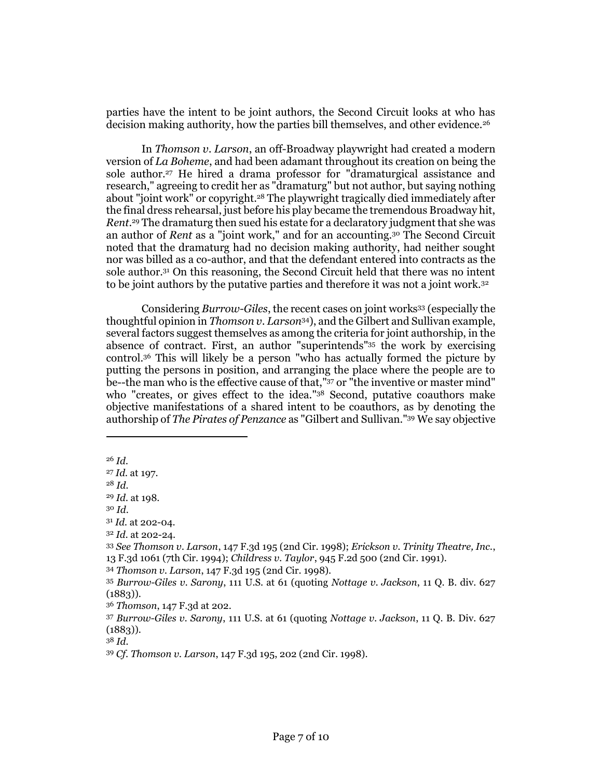parties have the intent to be joint authors, the Second Circuit looks at who has decision making authority, how the parties bill themselves, and other evidence.<sup>26</sup>

In *Thomson v. Larson*, an off-Broadway playwright had created a modern version of *La Boheme*, and had been adamant throughout its creation on being the sole author.<sup>27</sup> He hired a drama professor for "dramaturgical assistance and research," agreeing to credit her as "dramaturg" but not author, but saying nothing about "joint work" or copyright.<sup>28</sup> The playwright tragically died immediately after the final dress rehearsal, just before his play became the tremendous Broadway hit, *Rent*. <sup>29</sup> The dramaturg then sued his estate for a declaratory judgment that she was an author of *Rent* as a "joint work," and for an accounting.<sup>30</sup> The Second Circuit noted that the dramaturg had no decision making authority, had neither sought nor was billed as a co-author, and that the defendant entered into contracts as the sole author.<sup>31</sup> On this reasoning, the Second Circuit held that there was no intent to be joint authors by the putative parties and therefore it was not a joint work.<sup>32</sup>

Considering *Burrow-Giles*, the recent cases on joint works<sup>33</sup> (especially the thoughtful opinion in *Thomson v. Larson*34), and the Gilbert and Sullivan example, several factors suggest themselves as among the criteria for joint authorship, in the absence of contract. First, an author "superintends" <sup>35</sup> the work by exercising control.<sup>36</sup> This will likely be a person "who has actually formed the picture by putting the persons in position, and arranging the place where the people are to be--the man who is the effective cause of that," <sup>37</sup> or "the inventive or master mind" who "creates, or gives effect to the idea." <sup>38</sup> Second, putative coauthors make objective manifestations of a shared intent to be coauthors, as by denoting the authorship of *The Pirates of Penzance* as "Gilbert and Sullivan." <sup>39</sup> We say objective

<sup>26</sup> *Id.*

<sup>27</sup> *Id.* at 197.

<sup>28</sup> *Id.*

<sup>29</sup> *Id.* at 198.

<sup>30</sup> *Id*.

<sup>31</sup> *Id.* at 202-04.

<sup>32</sup> *Id.* at 202-24.

<sup>33</sup> *See Thomson v. Larson*, 147 F.3d 195 (2nd Cir. 1998); *Erickson v. Trinity Theatre, Inc.*, 13 F.3d 1061 (7th Cir. 1994); *Childress v. Taylor*, 945 F.2d 500 (2nd Cir. 1991).

<sup>34</sup> *Thomson v. Larson*, 147 F.3d 195 (2nd Cir. 1998).

<sup>35</sup> *Burrow-Giles v. Sarony*, 111 U.S. at 61 (quoting *Nottage v. Jackson*, 11 Q. B. div. 627  $(1883)$ ).

<sup>36</sup> *Thomson*, 147 F.3d at 202.

<sup>37</sup> *Burrow-Giles v. Sarony*, 111 U.S. at 61 (quoting *Nottage v. Jackson*, 11 Q. B. Div. 627  $(1883)$ ).

<sup>38</sup> *Id.*

<sup>39</sup> *Cf*. *Thomson v. Larson*, 147 F.3d 195, 202 (2nd Cir. 1998).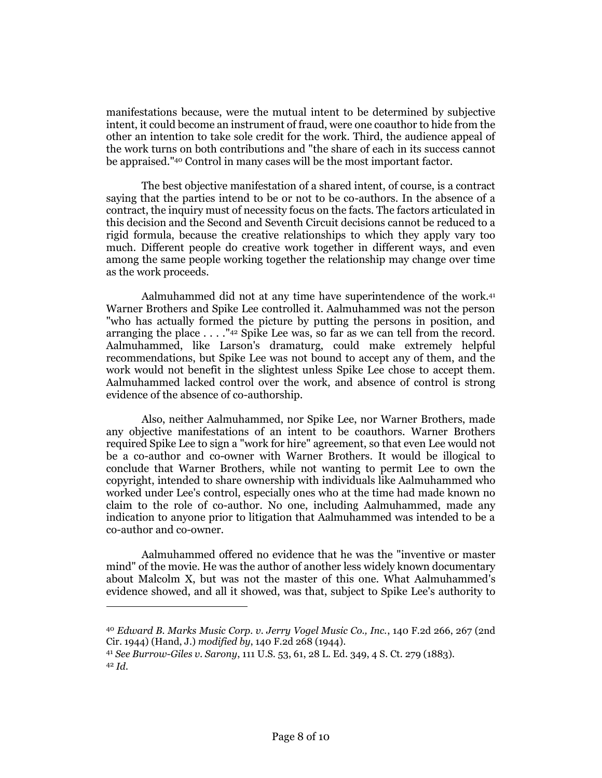manifestations because, were the mutual intent to be determined by subjective intent, it could become an instrument of fraud, were one coauthor to hide from the other an intention to take sole credit for the work. Third, the audience appeal of the work turns on both contributions and "the share of each in its success cannot be appraised." <sup>40</sup> Control in many cases will be the most important factor.

The best objective manifestation of a shared intent, of course, is a contract saying that the parties intend to be or not to be co-authors. In the absence of a contract, the inquiry must of necessity focus on the facts. The factors articulated in this decision and the Second and Seventh Circuit decisions cannot be reduced to a rigid formula, because the creative relationships to which they apply vary too much. Different people do creative work together in different ways, and even among the same people working together the relationship may change over time as the work proceeds.

Aalmuhammed did not at any time have superintendence of the work.<sup>41</sup> Warner Brothers and Spike Lee controlled it. Aalmuhammed was not the person "who has actually formed the picture by putting the persons in position, and arranging the place . . . ." <sup>42</sup> Spike Lee was, so far as we can tell from the record. Aalmuhammed, like Larson's dramaturg, could make extremely helpful recommendations, but Spike Lee was not bound to accept any of them, and the work would not benefit in the slightest unless Spike Lee chose to accept them. Aalmuhammed lacked control over the work, and absence of control is strong evidence of the absence of co-authorship.

Also, neither Aalmuhammed, nor Spike Lee, nor Warner Brothers, made any objective manifestations of an intent to be coauthors. Warner Brothers required Spike Lee to sign a "work for hire" agreement, so that even Lee would not be a co-author and co-owner with Warner Brothers. It would be illogical to conclude that Warner Brothers, while not wanting to permit Lee to own the copyright, intended to share ownership with individuals like Aalmuhammed who worked under Lee's control, especially ones who at the time had made known no claim to the role of co-author. No one, including Aalmuhammed, made any indication to anyone prior to litigation that Aalmuhammed was intended to be a co-author and co-owner.

Aalmuhammed offered no evidence that he was the "inventive or master mind" of the movie. He was the author of another less widely known documentary about Malcolm X, but was not the master of this one. What Aalmuhammed's evidence showed, and all it showed, was that, subject to Spike Lee's authority to

l

<sup>40</sup> *Edward B. Marks Music Corp. v. Jerry Vogel Music Co., Inc.*, 140 F.2d 266, 267 (2nd Cir. 1944) (Hand, J.) *modified by*, 140 F.2d 268 (1944).

<sup>41</sup> *See Burrow-Giles v. Sarony*, 111 U.S. 53, 61, 28 L. Ed. 349, 4 S. Ct. 279 (1883). <sup>42</sup> *Id.*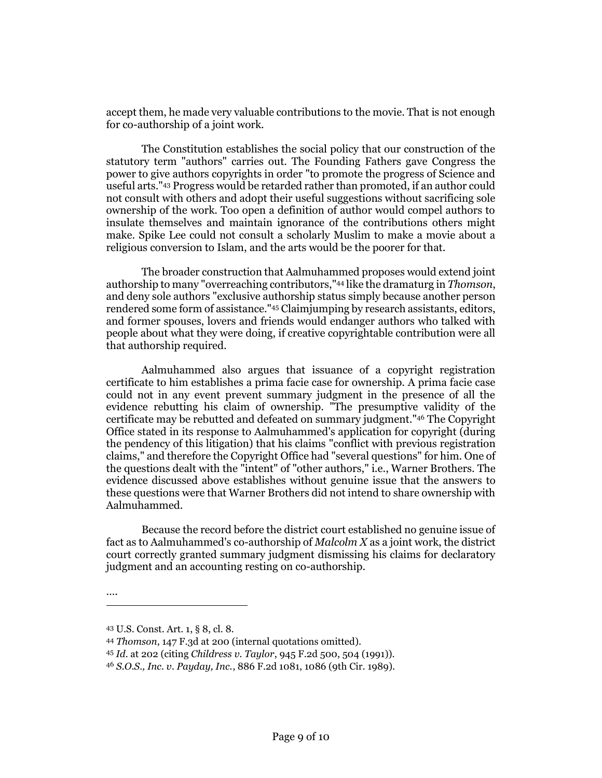accept them, he made very valuable contributions to the movie. That is not enough for co-authorship of a joint work.

The Constitution establishes the social policy that our construction of the statutory term "authors" carries out. The Founding Fathers gave Congress the power to give authors copyrights in order "to promote the progress of Science and useful arts." <sup>43</sup> Progress would be retarded rather than promoted, if an author could not consult with others and adopt their useful suggestions without sacrificing sole ownership of the work. Too open a definition of author would compel authors to insulate themselves and maintain ignorance of the contributions others might make. Spike Lee could not consult a scholarly Muslim to make a movie about a religious conversion to Islam, and the arts would be the poorer for that.

The broader construction that Aalmuhammed proposes would extend joint authorship to many "overreaching contributors," <sup>44</sup> like the dramaturg in *Thomson*, and deny sole authors "exclusive authorship status simply because another person rendered some form of assistance." <sup>45</sup> Claimjumping by research assistants, editors, and former spouses, lovers and friends would endanger authors who talked with people about what they were doing, if creative copyrightable contribution were all that authorship required.

Aalmuhammed also argues that issuance of a copyright registration certificate to him establishes a prima facie case for ownership. A prima facie case could not in any event prevent summary judgment in the presence of all the evidence rebutting his claim of ownership. "The presumptive validity of the certificate may be rebutted and defeated on summary judgment." <sup>46</sup> The Copyright Office stated in its response to Aalmuhammed's application for copyright (during the pendency of this litigation) that his claims "conflict with previous registration claims," and therefore the Copyright Office had "several questions" for him. One of the questions dealt with the "intent" of "other authors," i.e., Warner Brothers. The evidence discussed above establishes without genuine issue that the answers to these questions were that Warner Brothers did not intend to share ownership with Aalmuhammed.

Because the record before the district court established no genuine issue of fact as to Aalmuhammed's co-authorship of *Malcolm X* as a joint work, the district court correctly granted summary judgment dismissing his claims for declaratory judgment and an accounting resting on co-authorship.

<sup>…</sup>.  $\overline{a}$ 

<sup>43</sup> U.S. Const. Art. 1, § 8, cl. 8.

<sup>44</sup> *Thomson*, 147 F.3d at 200 (internal quotations omitted).

<sup>45</sup> *Id.* at 202 (citing *Childress v. Taylor*, 945 F.2d 500, 504 (1991)).

<sup>46</sup> *S.O.S., Inc. v. Payday, Inc.*, 886 F.2d 1081, 1086 (9th Cir. 1989).